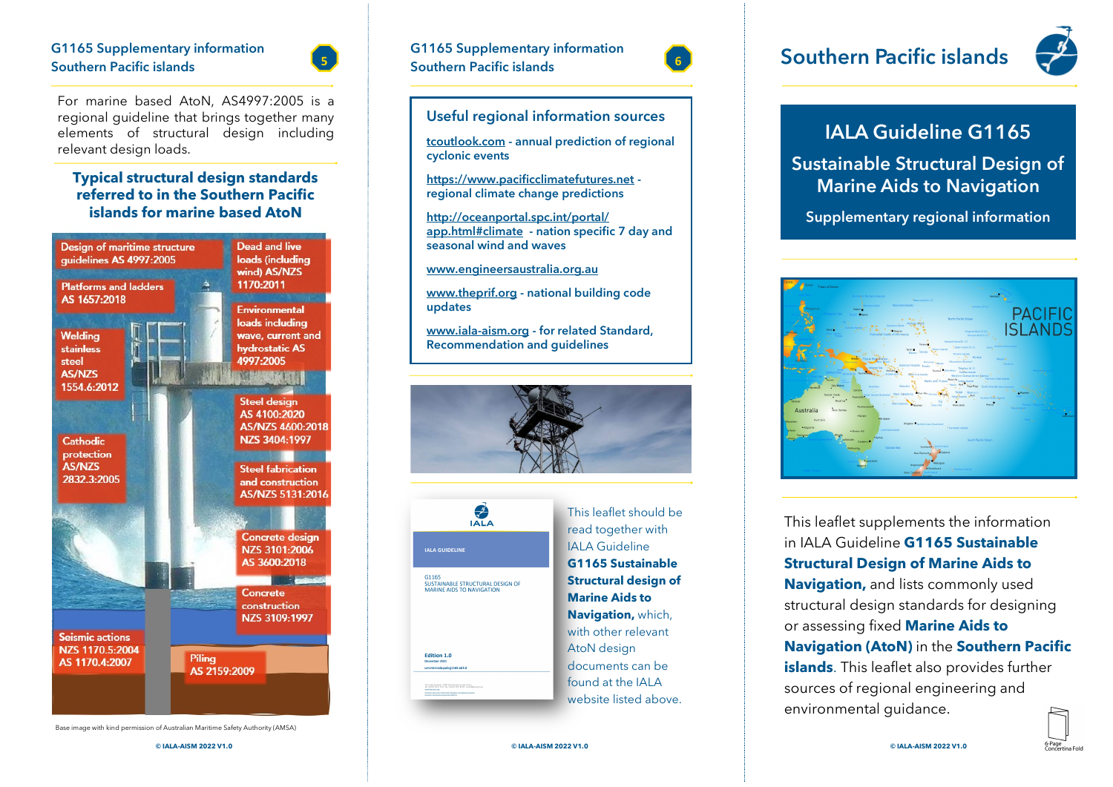# **G1165 Supplementary information**



For marine based AtoN, AS4997:2005 is a regional guideline that brings together many elements of structural design including relevant design loads.

#### **Typical structural design standards referred to in the Southern Pacific islands for marine based AtoN**



Base image with kind permission of Australian Maritime Safety Authority (AMSA)



#### **Useful regional information sources**

**tcoutlook.com - annual prediction of regional cyclonic events**

**https://www.pacificclimatefutures.net regional climate change predictions**

**http://oceanportal.spc.int/portal/ app.html#climate - nation specific 7 day and seasonal wind and waves** 

**[www.engineersaustralia.org.au](http://www.engineersaustralia.org.au)**

**[www.theprif.org](http://www.theprif.org) - national building code updates**

**[www.iala](http://www.iala-aism.org)-aism.org - for related Standard, Recommendation and guidelines**





This leaflet should be read together with IALA Guideline **G1165 Sustainable Structural design of Marine Aids to Navigation,** which, with other relevant AtoN design documents can be found at the IALA website listed above.



### **Southern Pacific islands**



### **IALA Guideline G1165**

**Sustainable Structural Design of Marine Aids to Navigation**

**Supplementary regional information**



This leaflet supplements the information in IALA Guideline **G1165 Sustainable Structural Design of Marine Aids to Navigation,** and lists commonly used structural design standards for designing or assessing fixed **Marine Aids to Navigation (AtoN)** in the **Southern Pacific islands**. This leaflet also provides further sources of regional engineering and environmental guidance.

**© IALA-AISM 2022 V1.0 © IALA-AISM 2022 V1.0 © IALA-AISM 2022 V1.0**